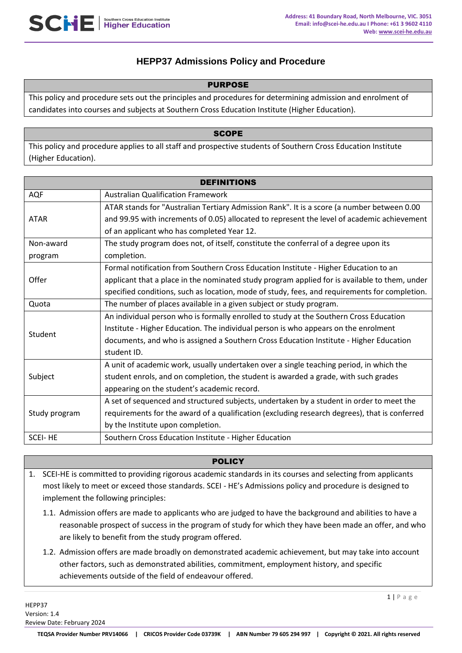# **HEPP37 Admissions Policy and Procedure**

### PURPOSE

This policy and procedure sets out the principles and procedures for determining admission and enrolment of candidates into courses and subjects at Southern Cross Education Institute (Higher Education).

### **SCOPE**

This policy and procedure applies to all staff and prospective students of Southern Cross Education Institute (Higher Education).

| <b>DEFINITIONS</b> |                                                                                               |  |  |
|--------------------|-----------------------------------------------------------------------------------------------|--|--|
| AQF                | <b>Australian Qualification Framework</b>                                                     |  |  |
|                    | ATAR stands for "Australian Tertiary Admission Rank". It is a score (a number between 0.00    |  |  |
| <b>ATAR</b>        | and 99.95 with increments of 0.05) allocated to represent the level of academic achievement   |  |  |
|                    | of an applicant who has completed Year 12.                                                    |  |  |
| Non-award          | The study program does not, of itself, constitute the conferral of a degree upon its          |  |  |
| program            | completion.                                                                                   |  |  |
|                    | Formal notification from Southern Cross Education Institute - Higher Education to an          |  |  |
| Offer              | applicant that a place in the nominated study program applied for is available to them, under |  |  |
|                    | specified conditions, such as location, mode of study, fees, and requirements for completion. |  |  |
| Quota              | The number of places available in a given subject or study program.                           |  |  |
|                    | An individual person who is formally enrolled to study at the Southern Cross Education        |  |  |
| Student            | Institute - Higher Education. The individual person is who appears on the enrolment           |  |  |
|                    | documents, and who is assigned a Southern Cross Education Institute - Higher Education        |  |  |
|                    | student ID.                                                                                   |  |  |
| Subject            | A unit of academic work, usually undertaken over a single teaching period, in which the       |  |  |
|                    | student enrols, and on completion, the student is awarded a grade, with such grades           |  |  |
|                    | appearing on the student's academic record.                                                   |  |  |
| Study program      | A set of sequenced and structured subjects, undertaken by a student in order to meet the      |  |  |
|                    | requirements for the award of a qualification (excluding research degrees), that is conferred |  |  |
|                    | by the Institute upon completion.                                                             |  |  |
| <b>SCEI-HE</b>     | Southern Cross Education Institute - Higher Education                                         |  |  |

### **POLICY**

1. SCEI-HE is committed to providing rigorous academic standards in its courses and selecting from applicants most likely to meet or exceed those standards. SCEI - HE's Admissions policy and procedure is designed to implement the following principles:

- 1.1. Admission offers are made to applicants who are judged to have the background and abilities to have a reasonable prospect of success in the program of study for which they have been made an offer, and who are likely to benefit from the study program offered.
- 1.2. Admission offers are made broadly on demonstrated academic achievement, but may take into account other factors, such as demonstrated abilities, commitment, employment history, and specific achievements outside of the field of endeavour offered.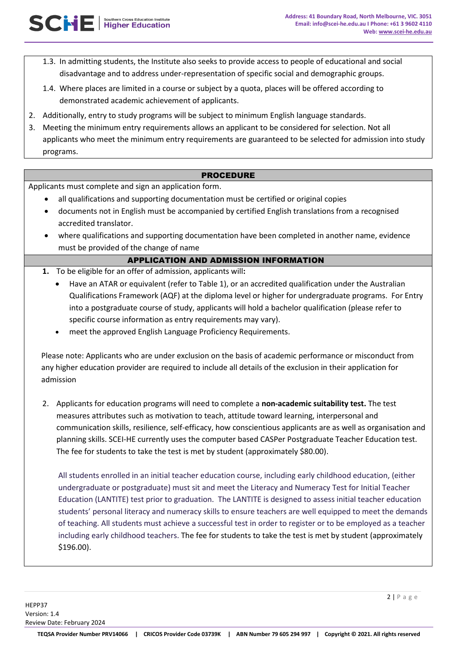- 1.3. In admitting students, the Institute also seeks to provide access to people of educational and social disadvantage and to address under-representation of specific social and demographic groups.
- 1.4. Where places are limited in a course or subject by a quota, places will be offered according to demonstrated academic achievement of applicants.
- 2. Additionally, entry to study programs will be subject to minimum English language standards.
- 3. Meeting the minimum entry requirements allows an applicant to be considered for selection. Not all applicants who meet the minimum entry requirements are guaranteed to be selected for admission into study programs.

#### PROCEDURE

Applicants must complete and sign an application form.

SCHE | Southern Cross Education Institute

- all qualifications and supporting documentation must be certified or original copies
- documents not in English must be accompanied by certified English translations from a recognised accredited translator.
- where qualifications and supporting documentation have been completed in another name, evidence must be provided of the change of name

### APPLICATION AND ADMISSION INFORMATION

- **1.** To be eligible for an offer of admission, applicants will**:** 
	- Have an ATAR or equivalent (refer to Table 1), or an accredited qualification under the Australian Qualifications Framework (AQF) at the diploma level or higher for undergraduate programs. For Entry into a postgraduate course of study, applicants will hold a bachelor qualification (please refer to specific course information as entry requirements may vary).
	- meet the approved English Language Proficiency Requirements.

Please note: Applicants who are under exclusion on the basis of academic performance or misconduct from any higher education provider are required to include all details of the exclusion in their application for admission

2. Applicants for education programs will need to complete a **non-academic suitability test.** The test measures attributes such as motivation to teach, attitude toward learning, interpersonal and communication skills, resilience, self-efficacy, how conscientious applicants are as well as organisation and planning skills. SCEI-HE currently uses the computer based CASPer Postgraduate Teacher Education test. The fee for students to take the test is met by student (approximately \$80.00).

All students enrolled in an initial teacher education course, including early childhood education, (either undergraduate or postgraduate) must sit and meet the Literacy and Numeracy Test for Initial Teacher Education (LANTITE) test prior to graduation. The LANTITE is designed to assess initial teacher education students' personal literacy and numeracy skills to ensure teachers are well equipped to meet the demands of teaching. All students must achieve a successful test in order to register or to be employed as a teacher including early childhood teachers. The fee for students to take the test is met by student (approximately \$196.00).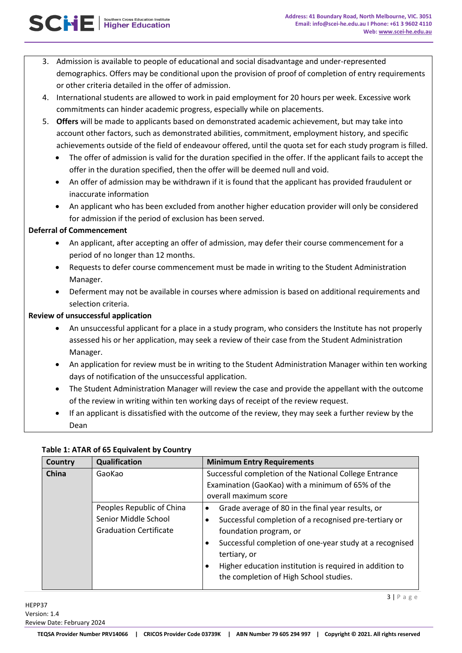- or other criteria detailed in the offer of admission. 4. International students are allowed to work in paid employment for 20 hours per week. Excessive work
- commitments can hinder academic progress, especially while on placements.
- 5. **Offers** will be made to applicants based on demonstrated academic achievement, but may take into account other factors, such as demonstrated abilities, commitment, employment history, and specific achievements outside of the field of endeavour offered, until the quota set for each study program is filled.
	- The offer of admission is valid for the duration specified in the offer. If the applicant fails to accept the offer in the duration specified, then the offer will be deemed null and void.
	- An offer of admission may be withdrawn if it is found that the applicant has provided fraudulent or inaccurate information
	- An applicant who has been excluded from another higher education provider will only be considered for admission if the period of exclusion has been served.

### **Deferral of Commencement**

SCHE | Signifier Education Institute

- An applicant, after accepting an offer of admission, may defer their course commencement for a period of no longer than 12 months.
- Requests to defer course commencement must be made in writing to the Student Administration Manager.
- Deferment may not be available in courses where admission is based on additional requirements and selection criteria.

## **Review of unsuccessful application**

- An unsuccessful applicant for a place in a study program, who considers the Institute has not properly assessed his or her application, may seek a review of their case from the Student Administration Manager.
- An application for review must be in writing to the Student Administration Manager within ten working days of notification of the unsuccessful application.
- The Student Administration Manager will review the case and provide the appellant with the outcome of the review in writing within ten working days of receipt of the review request.
- If an applicant is dissatisfied with the outcome of the review, they may seek a further review by the Dean

### **Table 1: ATAR of 65 Equivalent by Country**

| Country      | <b>Qualification</b>                                                               | <b>Minimum Entry Requirements</b>                                                                                                                                                                                                                                                                                    |
|--------------|------------------------------------------------------------------------------------|----------------------------------------------------------------------------------------------------------------------------------------------------------------------------------------------------------------------------------------------------------------------------------------------------------------------|
| <b>China</b> | GaoKao                                                                             | Successful completion of the National College Entrance<br>Examination (GaoKao) with a minimum of 65% of the<br>overall maximum score                                                                                                                                                                                 |
|              | Peoples Republic of China<br>Senior Middle School<br><b>Graduation Certificate</b> | Grade average of 80 in the final year results, or<br>Successful completion of a recognised pre-tertiary or<br>foundation program, or<br>Successful completion of one-year study at a recognised<br>tertiary, or<br>Higher education institution is required in addition to<br>the completion of High School studies. |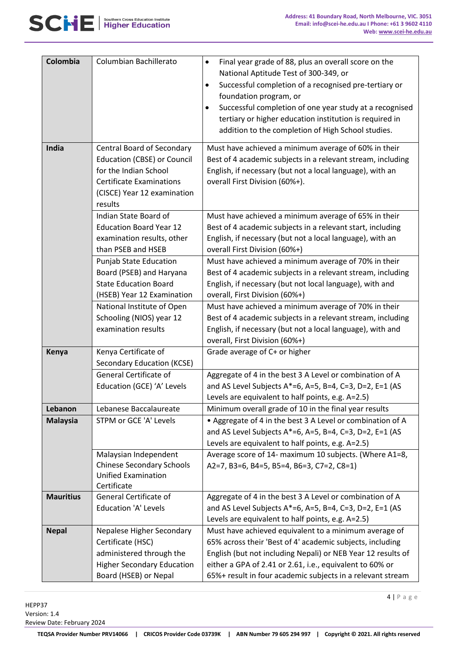#### **Address: 41 Boundary Road, North Melbourne, VIC. 3051 Email: info@scei-he.edu.au I Phone: +61 3 9602 4110 Web: www.scei-he.edu.au**

| A <b>MIL</b> Higher Education | Southern Cross Education Institute |
|-------------------------------|------------------------------------|
|-------------------------------|------------------------------------|

| Colombia         | Columbian Bachillerato                                                                                                                                                        | Final year grade of 88, plus an overall score on the<br>$\bullet$<br>National Aptitude Test of 300-349, or<br>Successful completion of a recognised pre-tertiary or<br>$\bullet$<br>foundation program, or                                                                                                   |
|------------------|-------------------------------------------------------------------------------------------------------------------------------------------------------------------------------|--------------------------------------------------------------------------------------------------------------------------------------------------------------------------------------------------------------------------------------------------------------------------------------------------------------|
|                  |                                                                                                                                                                               | Successful completion of one year study at a recognised<br>$\bullet$<br>tertiary or higher education institution is required in<br>addition to the completion of High School studies.                                                                                                                        |
| India            | <b>Central Board of Secondary</b><br><b>Education (CBSE) or Council</b><br>for the Indian School<br><b>Certificate Examinations</b><br>(CISCE) Year 12 examination<br>results | Must have achieved a minimum average of 60% in their<br>Best of 4 academic subjects in a relevant stream, including<br>English, if necessary (but not a local language), with an<br>overall First Division (60%+).                                                                                           |
|                  | Indian State Board of<br><b>Education Board Year 12</b><br>examination results, other<br>than PSEB and HSEB                                                                   | Must have achieved a minimum average of 65% in their<br>Best of 4 academic subjects in a relevant start, including<br>English, if necessary (but not a local language), with an<br>overall First Division (60%+)                                                                                             |
|                  | <b>Punjab State Education</b><br>Board (PSEB) and Haryana<br><b>State Education Board</b><br>(HSEB) Year 12 Examination                                                       | Must have achieved a minimum average of 70% in their<br>Best of 4 academic subjects in a relevant stream, including<br>English, if necessary (but not local language), with and<br>overall, First Division (60%+)                                                                                            |
|                  | National Institute of Open<br>Schooling (NIOS) year 12<br>examination results                                                                                                 | Must have achieved a minimum average of 70% in their<br>Best of 4 academic subjects in a relevant stream, including<br>English, if necessary (but not a local language), with and<br>overall, First Division (60%+)                                                                                          |
| Kenya            | Kenya Certificate of<br><b>Secondary Education (KCSE)</b>                                                                                                                     | Grade average of C+ or higher                                                                                                                                                                                                                                                                                |
|                  | <b>General Certificate of</b><br>Education (GCE) 'A' Levels                                                                                                                   | Aggregate of 4 in the best 3 A Level or combination of A<br>and AS Level Subjects A*=6, A=5, B=4, C=3, D=2, E=1 (AS<br>Levels are equivalent to half points, e.g. A=2.5)                                                                                                                                     |
| Lebanon          | Lebanese Baccalaureate                                                                                                                                                        | Minimum overall grade of 10 in the final year results                                                                                                                                                                                                                                                        |
| <b>Malaysia</b>  | STPM or GCE 'A' Levels                                                                                                                                                        | • Aggregate of 4 in the best 3 A Level or combination of A<br>and AS Level Subjects A*=6, A=5, B=4, C=3, D=2, E=1 (AS<br>Levels are equivalent to half points, e.g. A=2.5)                                                                                                                                   |
|                  | Malaysian Independent<br><b>Chinese Secondary Schools</b><br><b>Unified Examination</b><br>Certificate                                                                        | Average score of 14- maximum 10 subjects. (Where A1=8,<br>A2=7, B3=6, B4=5, B5=4, B6=3, C7=2, C8=1)                                                                                                                                                                                                          |
| <b>Mauritius</b> | General Certificate of<br><b>Education 'A' Levels</b>                                                                                                                         | Aggregate of 4 in the best 3 A Level or combination of A<br>and AS Level Subjects A*=6, A=5, B=4, C=3, D=2, E=1 (AS<br>Levels are equivalent to half points, e.g. A=2.5)                                                                                                                                     |
| <b>Nepal</b>     | Nepalese Higher Secondary<br>Certificate (HSC)<br>administered through the<br><b>Higher Secondary Education</b><br>Board (HSEB) or Nepal                                      | Must have achieved equivalent to a minimum average of<br>65% across their 'Best of 4' academic subjects, including<br>English (but not including Nepali) or NEB Year 12 results of<br>either a GPA of 2.41 or 2.61, i.e., equivalent to 60% or<br>65%+ result in four academic subjects in a relevant stream |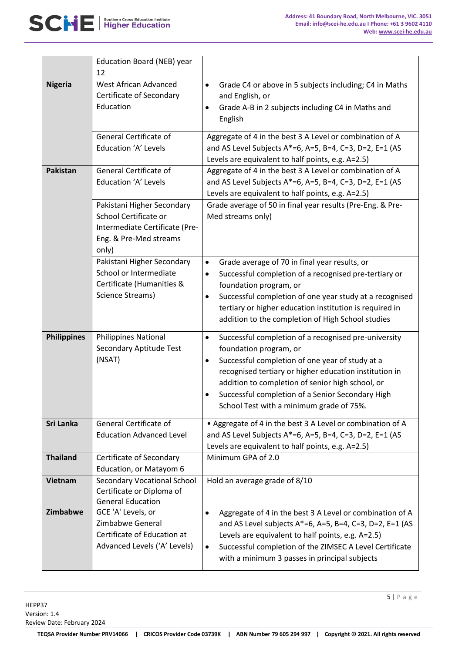

|                    | Education Board (NEB) year<br>12                                                                                         |                                                                                                                                                                                                                                                                                                                                                                   |
|--------------------|--------------------------------------------------------------------------------------------------------------------------|-------------------------------------------------------------------------------------------------------------------------------------------------------------------------------------------------------------------------------------------------------------------------------------------------------------------------------------------------------------------|
| <b>Nigeria</b>     | <b>West African Advanced</b><br>Certificate of Secondary<br>Education                                                    | Grade C4 or above in 5 subjects including; C4 in Maths<br>$\bullet$<br>and English, or<br>Grade A-B in 2 subjects including C4 in Maths and<br>$\bullet$<br>English                                                                                                                                                                                               |
|                    | General Certificate of<br>Education 'A' Levels                                                                           | Aggregate of 4 in the best 3 A Level or combination of A<br>and AS Level Subjects A*=6, A=5, B=4, C=3, D=2, E=1 (AS<br>Levels are equivalent to half points, e.g. A=2.5)                                                                                                                                                                                          |
| <b>Pakistan</b>    | General Certificate of<br>Education 'A' Levels                                                                           | Aggregate of 4 in the best 3 A Level or combination of A<br>and AS Level Subjects A*=6, A=5, B=4, C=3, D=2, E=1 (AS<br>Levels are equivalent to half points, e.g. A=2.5)                                                                                                                                                                                          |
|                    | Pakistani Higher Secondary<br>School Certificate or<br>Intermediate Certificate (Pre-<br>Eng. & Pre-Med streams<br>only) | Grade average of 50 in final year results (Pre-Eng. & Pre-<br>Med streams only)                                                                                                                                                                                                                                                                                   |
|                    | Pakistani Higher Secondary<br>School or Intermediate<br>Certificate (Humanities &<br>Science Streams)                    | Grade average of 70 in final year results, or<br>$\bullet$<br>Successful completion of a recognised pre-tertiary or<br>$\bullet$<br>foundation program, or<br>Successful completion of one year study at a recognised<br>٠<br>tertiary or higher education institution is required in<br>addition to the completion of High School studies                        |
| <b>Philippines</b> | <b>Philippines National</b><br>Secondary Aptitude Test<br>(NSAT)                                                         | Successful completion of a recognised pre-university<br>$\bullet$<br>foundation program, or<br>Successful completion of one year of study at a<br>٠<br>recognised tertiary or higher education institution in<br>addition to completion of senior high school, or<br>Successful completion of a Senior Secondary High<br>School Test with a minimum grade of 75%. |
| Sri Lanka          | General Certificate of<br><b>Education Advanced Level</b>                                                                | • Aggregate of 4 in the best 3 A Level or combination of A<br>and AS Level Subjects A*=6, A=5, B=4, C=3, D=2, E=1 (AS<br>Levels are equivalent to half points, e.g. A=2.5)                                                                                                                                                                                        |
| <b>Thailand</b>    | Certificate of Secondary<br>Education, or Matayom 6                                                                      | Minimum GPA of 2.0                                                                                                                                                                                                                                                                                                                                                |
| Vietnam            | <b>Secondary Vocational School</b><br>Certificate or Diploma of<br><b>General Education</b>                              | Hold an average grade of 8/10                                                                                                                                                                                                                                                                                                                                     |
| Zimbabwe           | GCE 'A' Levels, or<br>Zimbabwe General<br>Certificate of Education at<br>Advanced Levels ('A' Levels)                    | Aggregate of 4 in the best 3 A Level or combination of A<br>$\bullet$<br>and AS Level subjects $A^*=6$ , $A=5$ , $B=4$ , C=3, D=2, E=1 (AS<br>Levels are equivalent to half points, e.g. A=2.5)<br>Successful completion of the ZIMSEC A Level Certificate<br>٠<br>with a minimum 3 passes in principal subjects                                                  |